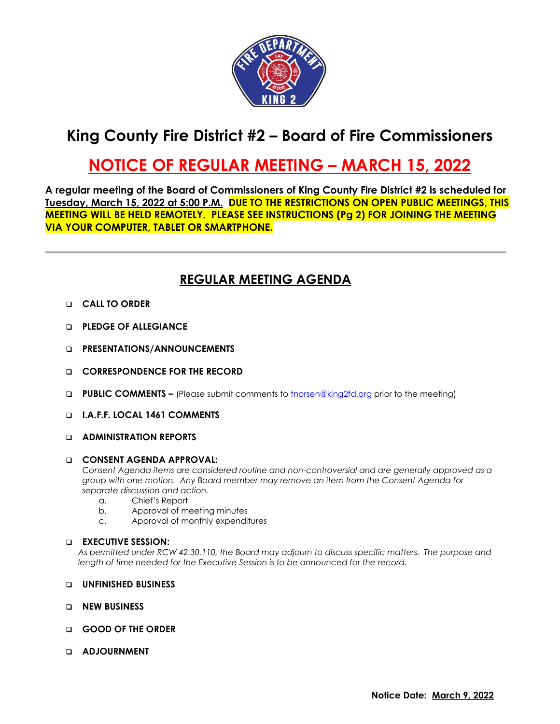

# **King County Fire District #2 – Board of Fire Commissioners**

## **NOTICE OF REGULAR MEETING – MARCH 15, 2022**

**A regular meeting of the Board of Commissioners of King County Fire District #2 is scheduled for Tuesday, March 15, 2022 at 5:00 P.M. DUE TO THE RESTRICTIONS ON OPEN PUBLIC MEETINGS, THIS MEETING WILL BE HELD REMOTELY. PLEASE SEE INSTRUCTIONS (Pg 2) FOR JOINING THE MEETING VIA YOUR COMPUTER, TABLET OR SMARTPHONE.**

### **REGULAR MEETING AGENDA**

- ❑ **CALL TO ORDER**
- ❑ **PLEDGE OF ALLEGIANCE**
- ❑ **PRESENTATIONS/ANNOUNCEMENTS**
- ❑ **CORRESPONDENCE FOR THE RECORD**
- ❑ **PUBLIC COMMENTS –** (Please submit comments to [tnorsen@king2fd.org](mailto:tnorsen@king2fd.org) prior to the meeting)
- ❑ **I.A.F.F. LOCAL 1461 COMMENTS**

#### ❑ **ADMINISTRATION REPORTS**

#### ❑ **CONSENT AGENDA APPROVAL:**

*Consent Agenda items are considered routine and non-controversial and are generally approved as a group with one motion. Any Board member may remove an item from the Consent Agenda for separate discussion and action.*

- a. Chief's Report
- b. Approval of meeting minutes
- c. Approval of monthly expenditures

#### ❑ **EXECUTIVE SESSION:**

*As permitted under RCW 42.30.110, the Board may adjourn to discuss specific matters. The purpose and length of time needed for the Executive Session is to be announced for the record.*

- ❑ **UNFINISHED BUSINESS**
- ❑ **NEW BUSINESS**
- ❑ **GOOD OF THE ORDER**
- ❑ **ADJOURNMENT**